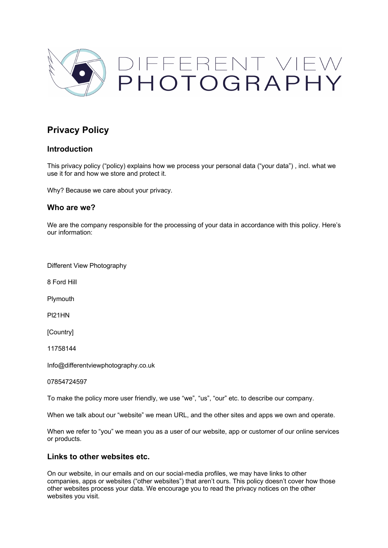

# **Privacy Policy**

### **Introduction**

This privacy policy ("policy) explains how we process your personal data ("your data") , incl. what we use it for and how we store and protect it.

Why? Because we care about your privacy.

### **Who are we?**

We are the company responsible for the processing of your data in accordance with this policy. Here's our information:

Different View Photography

8 Ford Hill

Plymouth

Pl21HN

[Country]

11758144

Info@differentviewphotography.co.uk

07854724597

To make the policy more user friendly, we use "we", "us", "our" etc. to describe our company.

When we talk about our "website" we mean URL, and the other sites and apps we own and operate.

When we refer to "you" we mean you as a user of our website, app or customer of our online services or products.

## **Links to other websites etc.**

On our website, in our emails and on our social-media profiles, we may have links to other companies, apps or websites ("other websites") that aren't ours. This policy doesn't cover how those other websites process your data. We encourage you to read the privacy notices on the other websites you visit.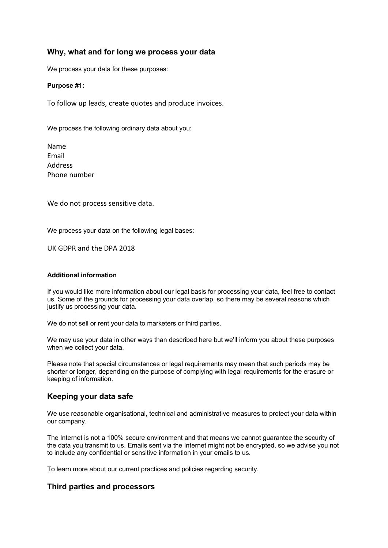## **Why, what and for long we process your data**

We process your data for these purposes:

#### **Purpose #1:**

To follow up leads, create quotes and produce invoices.

We process the following ordinary data about you:

Name Email Address Phone number

We do not process sensitive data.

We process your data on the following legal bases:

UK GDPR and the DPA 2018

#### **Additional information**

If you would like more information about our legal basis for processing your data, feel free to contact us. Some of the grounds for processing your data overlap, so there may be several reasons which justify us processing your data.

We do not sell or rent your data to marketers or third parties.

We may use your data in other ways than described here but we'll inform you about these purposes when we collect your data.

Please note that special circumstances or legal requirements may mean that such periods may be shorter or longer, depending on the purpose of complying with legal requirements for the erasure or keeping of information.

### **Keeping your data safe**

We use reasonable organisational, technical and administrative measures to protect your data within our company.

The Internet is not a 100% secure environment and that means we cannot guarantee the security of the data you transmit to us. Emails sent via the Internet might not be encrypted, so we advise you not to include any confidential or sensitive information in your emails to us.

To learn more about our current practices and policies regarding security,

### **Third parties and processors**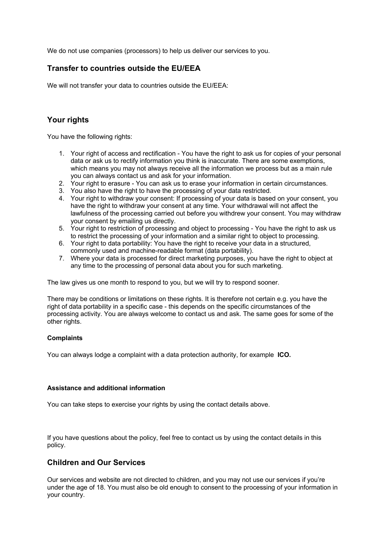We do not use companies (processors) to help us deliver our services to you.

# **Transfer to countries outside the EU/EEA**

We will not transfer your data to countries outside the EU/EEA:

# **Your rights**

You have the following rights:

- 1. Your right of access and rectification You have the right to ask us for copies of your personal data or ask us to rectify information you think is inaccurate. There are some exemptions, which means you may not always receive all the information we process but as a main rule you can always contact us and ask for your information.
- 2. Your right to erasure You can ask us to erase your information in certain circumstances.
- 3. You also have the right to have the processing of your data restricted.
- 4. Your right to withdraw your consent: If processing of your data is based on your consent, you have the right to withdraw your consent at any time. Your withdrawal will not affect the lawfulness of the processing carried out before you withdrew your consent. You may withdraw your consent by emailing us directly.
- 5. Your right to restriction of processing and object to processing You have the right to ask us to restrict the processing of your information and a similar right to object to processing.
- 6. Your right to data portability: You have the right to receive your data in a structured, commonly used and machine-readable format (data portability).
- 7. Where your data is processed for direct marketing purposes, you have the right to object at any time to the processing of personal data about you for such marketing.

The law gives us one month to respond to you, but we will try to respond sooner.

There may be conditions or limitations on these rights. It is therefore not certain e.g. you have the right of data portability in a specific case - this depends on the specific circumstances of the processing activity. You are always welcome to contact us and ask. The same goes for some of the other rights.

#### **Complaints**

You can always lodge a complaint with a data protection authority, for example **ICO.**

#### **Assistance and additional information**

You can take steps to exercise your rights by using the contact details above.

If you have questions about the policy, feel free to contact us by using the contact details in this policy.

## **Children and Our Services**

Our services and website are not directed to children, and you may not use our services if you're under the age of 18. You must also be old enough to consent to the processing of your information in your country.